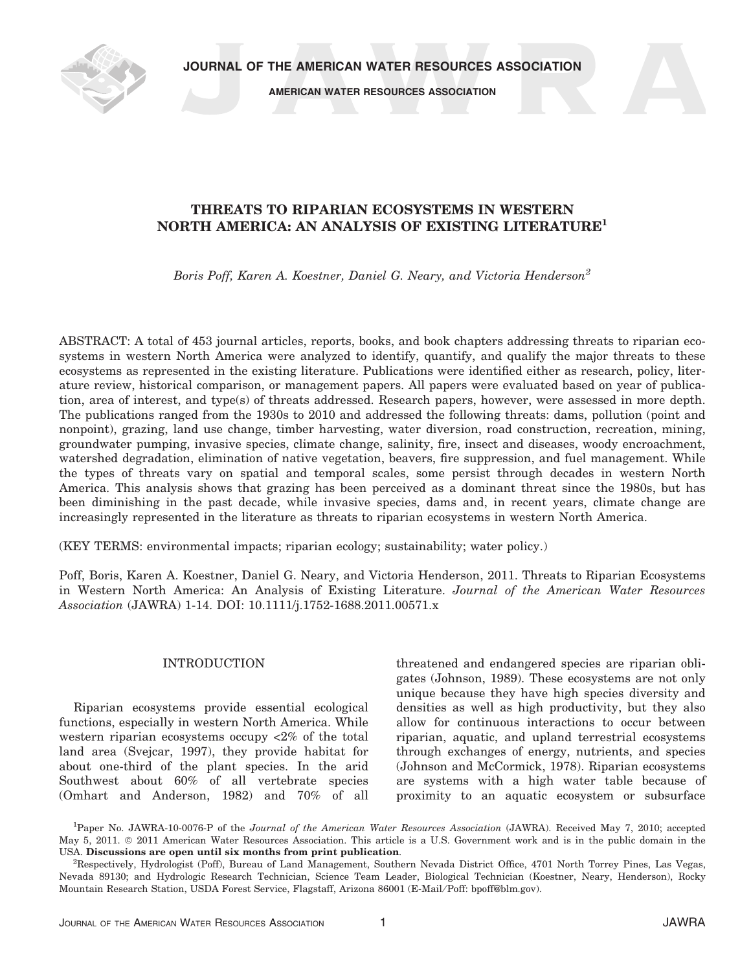

JOURNAL OF THE AMERICAN WATER RESOURCES ASSOCIATION

AMERICAN WATER RESOURCES ASSOCIATION

# THREATS TO RIPARIAN ECOSYSTEMS IN WESTERN NORTH AMERICA: AN ANALYSIS OF EXISTING LITERATURE1

Boris Poff, Karen A. Koestner, Daniel G. Neary, and Victoria Henderson<sup>2</sup>

ABSTRACT: A total of 453 journal articles, reports, books, and book chapters addressing threats to riparian ecosystems in western North America were analyzed to identify, quantify, and qualify the major threats to these ecosystems as represented in the existing literature. Publications were identified either as research, policy, literature review, historical comparison, or management papers. All papers were evaluated based on year of publication, area of interest, and type(s) of threats addressed. Research papers, however, were assessed in more depth. The publications ranged from the 1930s to 2010 and addressed the following threats: dams, pollution (point and nonpoint), grazing, land use change, timber harvesting, water diversion, road construction, recreation, mining, groundwater pumping, invasive species, climate change, salinity, fire, insect and diseases, woody encroachment, watershed degradation, elimination of native vegetation, beavers, fire suppression, and fuel management. While the types of threats vary on spatial and temporal scales, some persist through decades in western North America. This analysis shows that grazing has been perceived as a dominant threat since the 1980s, but has been diminishing in the past decade, while invasive species, dams and, in recent years, climate change are increasingly represented in the literature as threats to riparian ecosystems in western North America.

(KEY TERMS: environmental impacts; riparian ecology; sustainability; water policy.)

Poff, Boris, Karen A. Koestner, Daniel G. Neary, and Victoria Henderson, 2011. Threats to Riparian Ecosystems in Western North America: An Analysis of Existing Literature. Journal of the American Water Resources Association (JAWRA) 1-14. DOI: 10.1111/j.1752-1688.2011.00571.x

#### INTRODUCTION

Riparian ecosystems provide essential ecological functions, especially in western North America. While western riparian ecosystems occupy <2% of the total land area (Svejcar, 1997), they provide habitat for about one-third of the plant species. In the arid Southwest about 60% of all vertebrate species (Omhart and Anderson, 1982) and 70% of all threatened and endangered species are riparian obligates (Johnson, 1989). These ecosystems are not only unique because they have high species diversity and densities as well as high productivity, but they also allow for continuous interactions to occur between riparian, aquatic, and upland terrestrial ecosystems through exchanges of energy, nutrients, and species (Johnson and McCormick, 1978). Riparian ecosystems are systems with a high water table because of proximity to an aquatic ecosystem or subsurface

<sup>&</sup>lt;sup>1</sup>Paper No. JAWRA-10-0076-P of the Journal of the American Water Resources Association (JAWRA). Received May 7, 2010; accepted May 5, 2011. © 2011 American Water Resources Association. This article is a U.S. Government work and is in the public domain in the USA. Discussions are open until six months from print publication.

<sup>&</sup>lt;sup>2</sup>Respectively, Hydrologist (Poff), Bureau of Land Management, Southern Nevada District Office, 4701 North Torrey Pines, Las Vegas, Nevada 89130; and Hydrologic Research Technician, Science Team Leader, Biological Technician (Koestner, Neary, Henderson), Rocky Mountain Research Station, USDA Forest Service, Flagstaff, Arizona 86001 (E-Mail ⁄ Poff: bpoff@blm.gov).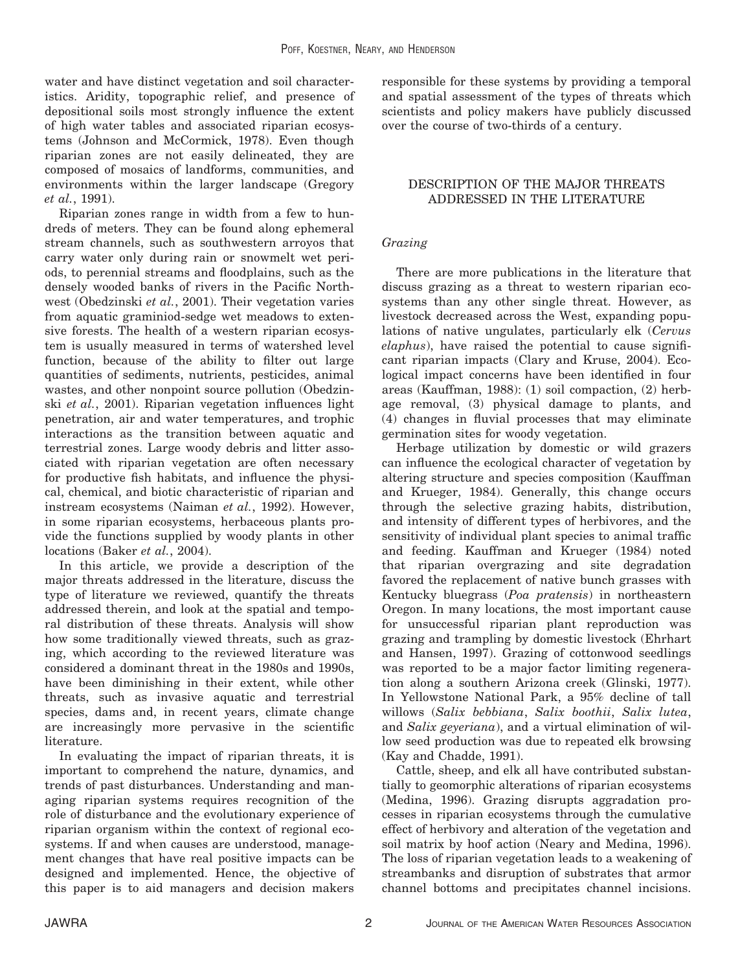water and have distinct vegetation and soil characteristics. Aridity, topographic relief, and presence of depositional soils most strongly influence the extent of high water tables and associated riparian ecosystems (Johnson and McCormick, 1978). Even though riparian zones are not easily delineated, they are composed of mosaics of landforms, communities, and environments within the larger landscape (Gregory et al., 1991).

Riparian zones range in width from a few to hundreds of meters. They can be found along ephemeral stream channels, such as southwestern arroyos that carry water only during rain or snowmelt wet periods, to perennial streams and floodplains, such as the densely wooded banks of rivers in the Pacific Northwest (Obedzinski et al., 2001). Their vegetation varies from aquatic graminiod-sedge wet meadows to extensive forests. The health of a western riparian ecosystem is usually measured in terms of watershed level function, because of the ability to filter out large quantities of sediments, nutrients, pesticides, animal wastes, and other nonpoint source pollution (Obedzinski et al., 2001). Riparian vegetation influences light penetration, air and water temperatures, and trophic interactions as the transition between aquatic and terrestrial zones. Large woody debris and litter associated with riparian vegetation are often necessary for productive fish habitats, and influence the physical, chemical, and biotic characteristic of riparian and instream ecosystems (Naiman et al., 1992). However, in some riparian ecosystems, herbaceous plants provide the functions supplied by woody plants in other locations (Baker et al., 2004).

In this article, we provide a description of the major threats addressed in the literature, discuss the type of literature we reviewed, quantify the threats addressed therein, and look at the spatial and temporal distribution of these threats. Analysis will show how some traditionally viewed threats, such as grazing, which according to the reviewed literature was considered a dominant threat in the 1980s and 1990s, have been diminishing in their extent, while other threats, such as invasive aquatic and terrestrial species, dams and, in recent years, climate change are increasingly more pervasive in the scientific literature.

In evaluating the impact of riparian threats, it is important to comprehend the nature, dynamics, and trends of past disturbances. Understanding and managing riparian systems requires recognition of the role of disturbance and the evolutionary experience of riparian organism within the context of regional ecosystems. If and when causes are understood, management changes that have real positive impacts can be designed and implemented. Hence, the objective of this paper is to aid managers and decision makers responsible for these systems by providing a temporal and spatial assessment of the types of threats which scientists and policy makers have publicly discussed over the course of two-thirds of a century.

### DESCRIPTION OF THE MAJOR THREATS ADDRESSED IN THE LITERATURE

### Grazing

There are more publications in the literature that discuss grazing as a threat to western riparian ecosystems than any other single threat. However, as livestock decreased across the West, expanding populations of native ungulates, particularly elk (Cervus elaphus), have raised the potential to cause significant riparian impacts (Clary and Kruse, 2004). Ecological impact concerns have been identified in four areas (Kauffman, 1988): (1) soil compaction, (2) herbage removal, (3) physical damage to plants, and (4) changes in fluvial processes that may eliminate germination sites for woody vegetation.

Herbage utilization by domestic or wild grazers can influence the ecological character of vegetation by altering structure and species composition (Kauffman and Krueger, 1984). Generally, this change occurs through the selective grazing habits, distribution, and intensity of different types of herbivores, and the sensitivity of individual plant species to animal traffic and feeding. Kauffman and Krueger (1984) noted that riparian overgrazing and site degradation favored the replacement of native bunch grasses with Kentucky bluegrass (Poa pratensis) in northeastern Oregon. In many locations, the most important cause for unsuccessful riparian plant reproduction was grazing and trampling by domestic livestock (Ehrhart and Hansen, 1997). Grazing of cottonwood seedlings was reported to be a major factor limiting regeneration along a southern Arizona creek (Glinski, 1977). In Yellowstone National Park, a 95% decline of tall willows (Salix bebbiana, Salix boothii, Salix lutea, and Salix geyeriana), and a virtual elimination of willow seed production was due to repeated elk browsing (Kay and Chadde, 1991).

Cattle, sheep, and elk all have contributed substantially to geomorphic alterations of riparian ecosystems (Medina, 1996). Grazing disrupts aggradation processes in riparian ecosystems through the cumulative effect of herbivory and alteration of the vegetation and soil matrix by hoof action (Neary and Medina, 1996). The loss of riparian vegetation leads to a weakening of streambanks and disruption of substrates that armor channel bottoms and precipitates channel incisions.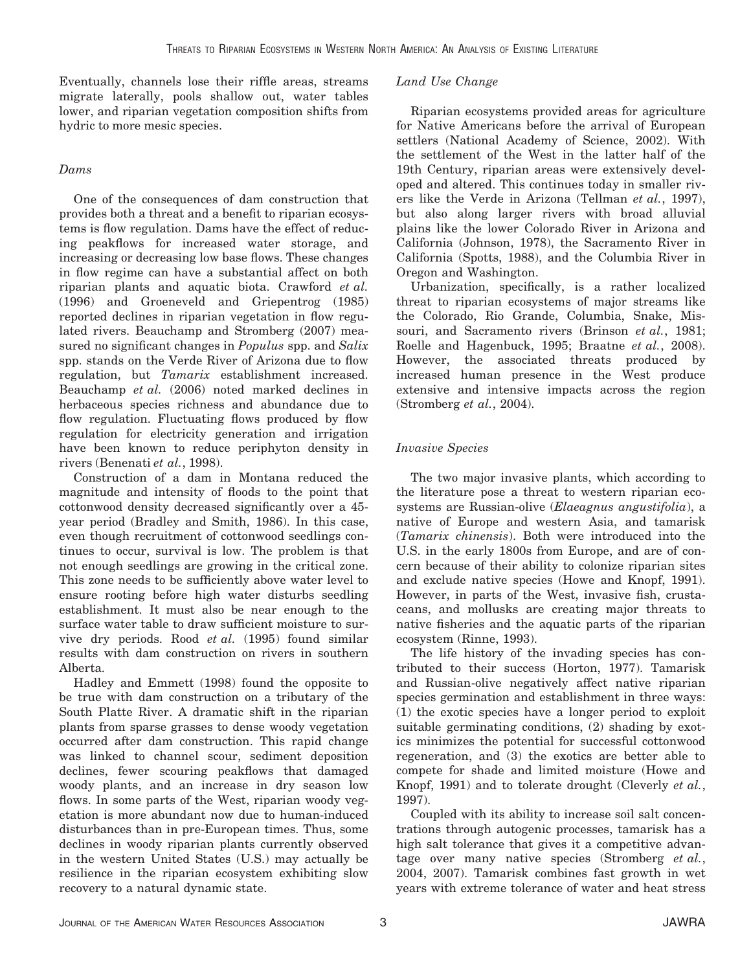Eventually, channels lose their riffle areas, streams migrate laterally, pools shallow out, water tables lower, and riparian vegetation composition shifts from hydric to more mesic species.

# Dams

One of the consequences of dam construction that provides both a threat and a benefit to riparian ecosystems is flow regulation. Dams have the effect of reducing peakflows for increased water storage, and increasing or decreasing low base flows. These changes in flow regime can have a substantial affect on both riparian plants and aquatic biota. Crawford et al. (1996) and Groeneveld and Griepentrog (1985) reported declines in riparian vegetation in flow regulated rivers. Beauchamp and Stromberg (2007) measured no significant changes in *Populus* spp. and *Salix* spp. stands on the Verde River of Arizona due to flow regulation, but Tamarix establishment increased. Beauchamp et al. (2006) noted marked declines in herbaceous species richness and abundance due to flow regulation. Fluctuating flows produced by flow regulation for electricity generation and irrigation have been known to reduce periphyton density in rivers (Benenati et al., 1998).

Construction of a dam in Montana reduced the magnitude and intensity of floods to the point that cottonwood density decreased significantly over a 45 year period (Bradley and Smith, 1986). In this case, even though recruitment of cottonwood seedlings continues to occur, survival is low. The problem is that not enough seedlings are growing in the critical zone. This zone needs to be sufficiently above water level to ensure rooting before high water disturbs seedling establishment. It must also be near enough to the surface water table to draw sufficient moisture to survive dry periods. Rood et al. (1995) found similar results with dam construction on rivers in southern Alberta.

Hadley and Emmett (1998) found the opposite to be true with dam construction on a tributary of the South Platte River. A dramatic shift in the riparian plants from sparse grasses to dense woody vegetation occurred after dam construction. This rapid change was linked to channel scour, sediment deposition declines, fewer scouring peakflows that damaged woody plants, and an increase in dry season low flows. In some parts of the West, riparian woody vegetation is more abundant now due to human-induced disturbances than in pre-European times. Thus, some declines in woody riparian plants currently observed in the western United States (U.S.) may actually be resilience in the riparian ecosystem exhibiting slow recovery to a natural dynamic state.

# Land Use Change

Riparian ecosystems provided areas for agriculture for Native Americans before the arrival of European settlers (National Academy of Science, 2002). With the settlement of the West in the latter half of the 19th Century, riparian areas were extensively developed and altered. This continues today in smaller rivers like the Verde in Arizona (Tellman et al., 1997), but also along larger rivers with broad alluvial plains like the lower Colorado River in Arizona and California (Johnson, 1978), the Sacramento River in California (Spotts, 1988), and the Columbia River in Oregon and Washington.

Urbanization, specifically, is a rather localized threat to riparian ecosystems of major streams like the Colorado, Rio Grande, Columbia, Snake, Missouri, and Sacramento rivers (Brinson et al., 1981; Roelle and Hagenbuck, 1995; Braatne et al., 2008). However, the associated threats produced by increased human presence in the West produce extensive and intensive impacts across the region (Stromberg et al., 2004).

# Invasive Species

The two major invasive plants, which according to the literature pose a threat to western riparian ecosystems are Russian-olive (Elaeagnus angustifolia), a native of Europe and western Asia, and tamarisk (Tamarix chinensis). Both were introduced into the U.S. in the early 1800s from Europe, and are of concern because of their ability to colonize riparian sites and exclude native species (Howe and Knopf, 1991). However, in parts of the West, invasive fish, crustaceans, and mollusks are creating major threats to native fisheries and the aquatic parts of the riparian ecosystem (Rinne, 1993).

The life history of the invading species has contributed to their success (Horton, 1977). Tamarisk and Russian-olive negatively affect native riparian species germination and establishment in three ways: (1) the exotic species have a longer period to exploit suitable germinating conditions, (2) shading by exotics minimizes the potential for successful cottonwood regeneration, and (3) the exotics are better able to compete for shade and limited moisture (Howe and Knopf, 1991) and to tolerate drought (Cleverly *et al.*, 1997).

Coupled with its ability to increase soil salt concentrations through autogenic processes, tamarisk has a high salt tolerance that gives it a competitive advantage over many native species (Stromberg et al., 2004, 2007). Tamarisk combines fast growth in wet years with extreme tolerance of water and heat stress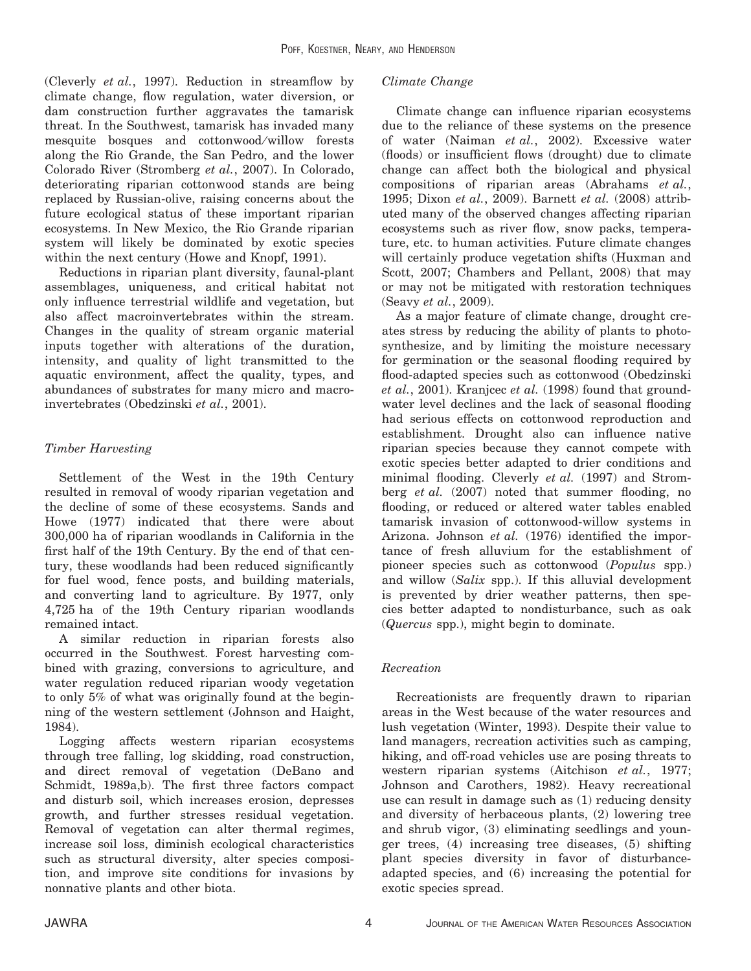(Cleverly et al., 1997). Reduction in streamflow by climate change, flow regulation, water diversion, or dam construction further aggravates the tamarisk threat. In the Southwest, tamarisk has invaded many mesquite bosques and cottonwood/willow forests along the Rio Grande, the San Pedro, and the lower Colorado River (Stromberg et al., 2007). In Colorado, deteriorating riparian cottonwood stands are being replaced by Russian-olive, raising concerns about the future ecological status of these important riparian ecosystems. In New Mexico, the Rio Grande riparian system will likely be dominated by exotic species within the next century (Howe and Knopf, 1991).

Reductions in riparian plant diversity, faunal-plant assemblages, uniqueness, and critical habitat not only influence terrestrial wildlife and vegetation, but also affect macroinvertebrates within the stream. Changes in the quality of stream organic material inputs together with alterations of the duration, intensity, and quality of light transmitted to the aquatic environment, affect the quality, types, and abundances of substrates for many micro and macroinvertebrates (Obedzinski et al., 2001).

# Timber Harvesting

Settlement of the West in the 19th Century resulted in removal of woody riparian vegetation and the decline of some of these ecosystems. Sands and Howe (1977) indicated that there were about 300,000 ha of riparian woodlands in California in the first half of the 19th Century. By the end of that century, these woodlands had been reduced significantly for fuel wood, fence posts, and building materials, and converting land to agriculture. By 1977, only 4,725 ha of the 19th Century riparian woodlands remained intact.

A similar reduction in riparian forests also occurred in the Southwest. Forest harvesting combined with grazing, conversions to agriculture, and water regulation reduced riparian woody vegetation to only 5% of what was originally found at the beginning of the western settlement (Johnson and Haight, 1984).

Logging affects western riparian ecosystems through tree falling, log skidding, road construction, and direct removal of vegetation (DeBano and Schmidt, 1989a,b). The first three factors compact and disturb soil, which increases erosion, depresses growth, and further stresses residual vegetation. Removal of vegetation can alter thermal regimes, increase soil loss, diminish ecological characteristics such as structural diversity, alter species composition, and improve site conditions for invasions by nonnative plants and other biota.

### Climate Change

Climate change can influence riparian ecosystems due to the reliance of these systems on the presence of water (Naiman et al., 2002). Excessive water (floods) or insufficient flows (drought) due to climate change can affect both the biological and physical compositions of riparian areas (Abrahams et al., 1995; Dixon et al., 2009). Barnett et al. (2008) attributed many of the observed changes affecting riparian ecosystems such as river flow, snow packs, temperature, etc. to human activities. Future climate changes will certainly produce vegetation shifts (Huxman and Scott, 2007; Chambers and Pellant, 2008) that may or may not be mitigated with restoration techniques (Seavy et al., 2009).

As a major feature of climate change, drought creates stress by reducing the ability of plants to photosynthesize, and by limiting the moisture necessary for germination or the seasonal flooding required by flood-adapted species such as cottonwood (Obedzinski et al., 2001). Kranjcec et al. (1998) found that groundwater level declines and the lack of seasonal flooding had serious effects on cottonwood reproduction and establishment. Drought also can influence native riparian species because they cannot compete with exotic species better adapted to drier conditions and minimal flooding. Cleverly et al. (1997) and Stromberg et al. (2007) noted that summer flooding, no flooding, or reduced or altered water tables enabled tamarisk invasion of cottonwood-willow systems in Arizona. Johnson et al. (1976) identified the importance of fresh alluvium for the establishment of pioneer species such as cottonwood (Populus spp.) and willow (Salix spp.). If this alluvial development is prevented by drier weather patterns, then species better adapted to nondisturbance, such as oak (Quercus spp.), might begin to dominate.

## Recreation

Recreationists are frequently drawn to riparian areas in the West because of the water resources and lush vegetation (Winter, 1993). Despite their value to land managers, recreation activities such as camping, hiking, and off-road vehicles use are posing threats to western riparian systems (Aitchison et al., 1977; Johnson and Carothers, 1982). Heavy recreational use can result in damage such as (1) reducing density and diversity of herbaceous plants, (2) lowering tree and shrub vigor, (3) eliminating seedlings and younger trees, (4) increasing tree diseases, (5) shifting plant species diversity in favor of disturbanceadapted species, and (6) increasing the potential for exotic species spread.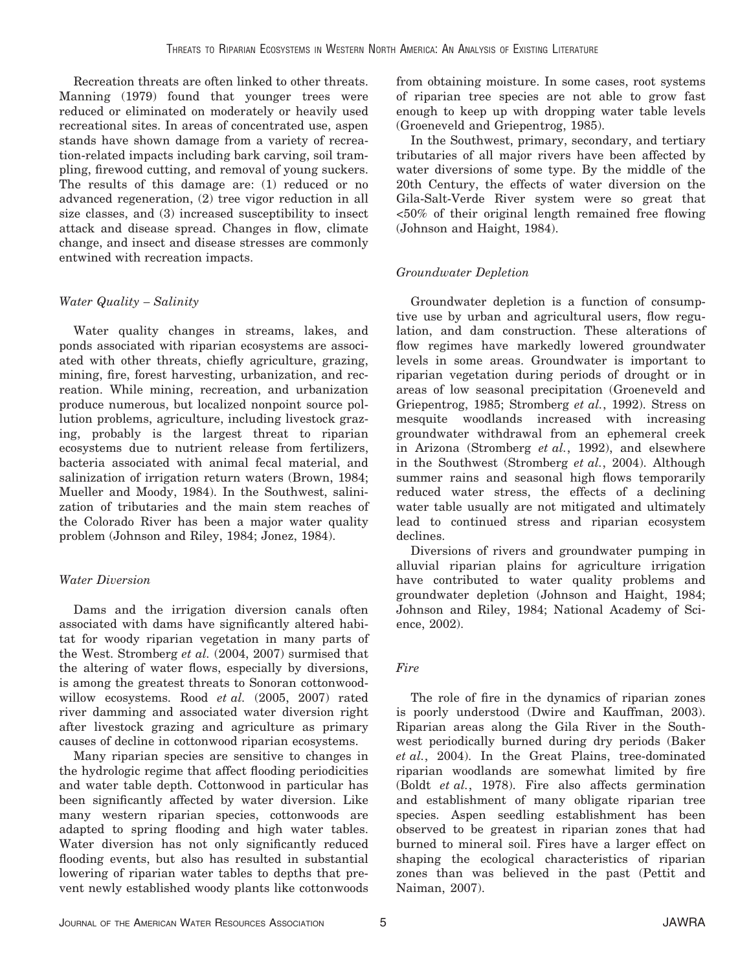Recreation threats are often linked to other threats. Manning (1979) found that younger trees were reduced or eliminated on moderately or heavily used recreational sites. In areas of concentrated use, aspen stands have shown damage from a variety of recreation-related impacts including bark carving, soil trampling, firewood cutting, and removal of young suckers. The results of this damage are: (1) reduced or no advanced regeneration, (2) tree vigor reduction in all size classes, and (3) increased susceptibility to insect attack and disease spread. Changes in flow, climate change, and insect and disease stresses are commonly entwined with recreation impacts.

## Water Quality – Salinity

Water quality changes in streams, lakes, and ponds associated with riparian ecosystems are associated with other threats, chiefly agriculture, grazing, mining, fire, forest harvesting, urbanization, and recreation. While mining, recreation, and urbanization produce numerous, but localized nonpoint source pollution problems, agriculture, including livestock grazing, probably is the largest threat to riparian ecosystems due to nutrient release from fertilizers, bacteria associated with animal fecal material, and salinization of irrigation return waters (Brown, 1984; Mueller and Moody, 1984). In the Southwest, salinization of tributaries and the main stem reaches of the Colorado River has been a major water quality problem (Johnson and Riley, 1984; Jonez, 1984).

## Water Diversion

Dams and the irrigation diversion canals often associated with dams have significantly altered habitat for woody riparian vegetation in many parts of the West. Stromberg et al. (2004, 2007) surmised that the altering of water flows, especially by diversions, is among the greatest threats to Sonoran cottonwoodwillow ecosystems. Rood et al. (2005, 2007) rated river damming and associated water diversion right after livestock grazing and agriculture as primary causes of decline in cottonwood riparian ecosystems.

Many riparian species are sensitive to changes in the hydrologic regime that affect flooding periodicities and water table depth. Cottonwood in particular has been significantly affected by water diversion. Like many western riparian species, cottonwoods are adapted to spring flooding and high water tables. Water diversion has not only significantly reduced flooding events, but also has resulted in substantial lowering of riparian water tables to depths that prevent newly established woody plants like cottonwoods from obtaining moisture. In some cases, root systems of riparian tree species are not able to grow fast enough to keep up with dropping water table levels (Groeneveld and Griepentrog, 1985).

In the Southwest, primary, secondary, and tertiary tributaries of all major rivers have been affected by water diversions of some type. By the middle of the 20th Century, the effects of water diversion on the Gila-Salt-Verde River system were so great that <50% of their original length remained free flowing (Johnson and Haight, 1984).

# Groundwater Depletion

Groundwater depletion is a function of consumptive use by urban and agricultural users, flow regulation, and dam construction. These alterations of flow regimes have markedly lowered groundwater levels in some areas. Groundwater is important to riparian vegetation during periods of drought or in areas of low seasonal precipitation (Groeneveld and Griepentrog, 1985; Stromberg et al., 1992). Stress on mesquite woodlands increased with increasing groundwater withdrawal from an ephemeral creek in Arizona (Stromberg et al., 1992), and elsewhere in the Southwest (Stromberg et al., 2004). Although summer rains and seasonal high flows temporarily reduced water stress, the effects of a declining water table usually are not mitigated and ultimately lead to continued stress and riparian ecosystem declines.

Diversions of rivers and groundwater pumping in alluvial riparian plains for agriculture irrigation have contributed to water quality problems and groundwater depletion (Johnson and Haight, 1984; Johnson and Riley, 1984; National Academy of Science, 2002).

## Fire

The role of fire in the dynamics of riparian zones is poorly understood (Dwire and Kauffman, 2003). Riparian areas along the Gila River in the Southwest periodically burned during dry periods (Baker et al., 2004). In the Great Plains, tree-dominated riparian woodlands are somewhat limited by fire (Boldt et al., 1978). Fire also affects germination and establishment of many obligate riparian tree species. Aspen seedling establishment has been observed to be greatest in riparian zones that had burned to mineral soil. Fires have a larger effect on shaping the ecological characteristics of riparian zones than was believed in the past (Pettit and Naiman, 2007).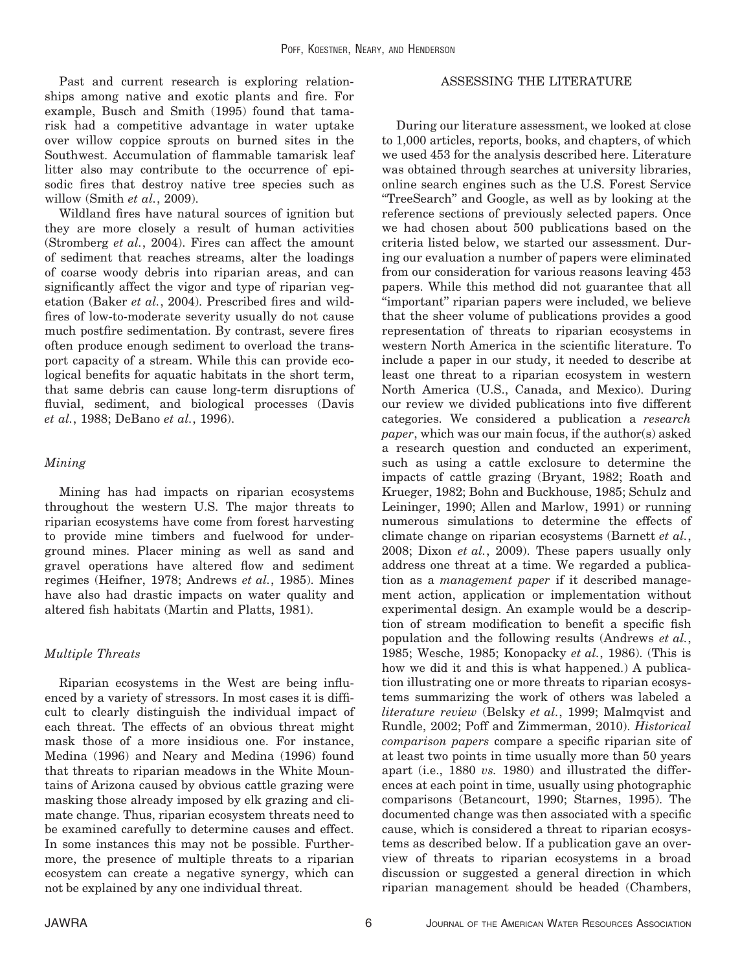Past and current research is exploring relationships among native and exotic plants and fire. For example, Busch and Smith (1995) found that tamarisk had a competitive advantage in water uptake over willow coppice sprouts on burned sites in the Southwest. Accumulation of flammable tamarisk leaf litter also may contribute to the occurrence of episodic fires that destroy native tree species such as willow (Smith et al., 2009).

Wildland fires have natural sources of ignition but they are more closely a result of human activities (Stromberg et al., 2004). Fires can affect the amount of sediment that reaches streams, alter the loadings of coarse woody debris into riparian areas, and can significantly affect the vigor and type of riparian vegetation (Baker et al., 2004). Prescribed fires and wildfires of low-to-moderate severity usually do not cause much postfire sedimentation. By contrast, severe fires often produce enough sediment to overload the transport capacity of a stream. While this can provide ecological benefits for aquatic habitats in the short term, that same debris can cause long-term disruptions of fluvial, sediment, and biological processes (Davis et al., 1988; DeBano et al., 1996).

### Mining

Mining has had impacts on riparian ecosystems throughout the western U.S. The major threats to riparian ecosystems have come from forest harvesting to provide mine timbers and fuelwood for underground mines. Placer mining as well as sand and gravel operations have altered flow and sediment regimes (Heifner, 1978; Andrews et al., 1985). Mines have also had drastic impacts on water quality and altered fish habitats (Martin and Platts, 1981).

#### Multiple Threats

Riparian ecosystems in the West are being influenced by a variety of stressors. In most cases it is difficult to clearly distinguish the individual impact of each threat. The effects of an obvious threat might mask those of a more insidious one. For instance, Medina (1996) and Neary and Medina (1996) found that threats to riparian meadows in the White Mountains of Arizona caused by obvious cattle grazing were masking those already imposed by elk grazing and climate change. Thus, riparian ecosystem threats need to be examined carefully to determine causes and effect. In some instances this may not be possible. Furthermore, the presence of multiple threats to a riparian ecosystem can create a negative synergy, which can not be explained by any one individual threat.

#### ASSESSING THE LITERATURE

During our literature assessment, we looked at close to 1,000 articles, reports, books, and chapters, of which we used 453 for the analysis described here. Literature was obtained through searches at university libraries, online search engines such as the U.S. Forest Service ''TreeSearch'' and Google, as well as by looking at the reference sections of previously selected papers. Once we had chosen about 500 publications based on the criteria listed below, we started our assessment. During our evaluation a number of papers were eliminated from our consideration for various reasons leaving 453 papers. While this method did not guarantee that all "important" riparian papers were included, we believe that the sheer volume of publications provides a good representation of threats to riparian ecosystems in western North America in the scientific literature. To include a paper in our study, it needed to describe at least one threat to a riparian ecosystem in western North America (U.S., Canada, and Mexico). During our review we divided publications into five different categories. We considered a publication a research paper, which was our main focus, if the author(s) asked a research question and conducted an experiment, such as using a cattle exclosure to determine the impacts of cattle grazing (Bryant, 1982; Roath and Krueger, 1982; Bohn and Buckhouse, 1985; Schulz and Leininger, 1990; Allen and Marlow, 1991) or running numerous simulations to determine the effects of climate change on riparian ecosystems (Barnett et al., 2008; Dixon et al., 2009). These papers usually only address one threat at a time. We regarded a publication as a management paper if it described management action, application or implementation without experimental design. An example would be a description of stream modification to benefit a specific fish population and the following results (Andrews et al., 1985; Wesche, 1985; Konopacky et al., 1986). (This is how we did it and this is what happened.) A publication illustrating one or more threats to riparian ecosystems summarizing the work of others was labeled a literature review (Belsky et al., 1999; Malmqvist and Rundle, 2002; Poff and Zimmerman, 2010). Historical comparison papers compare a specific riparian site of at least two points in time usually more than 50 years apart (i.e., 1880 vs. 1980) and illustrated the differences at each point in time, usually using photographic comparisons (Betancourt, 1990; Starnes, 1995). The documented change was then associated with a specific cause, which is considered a threat to riparian ecosystems as described below. If a publication gave an overview of threats to riparian ecosystems in a broad discussion or suggested a general direction in which riparian management should be headed (Chambers,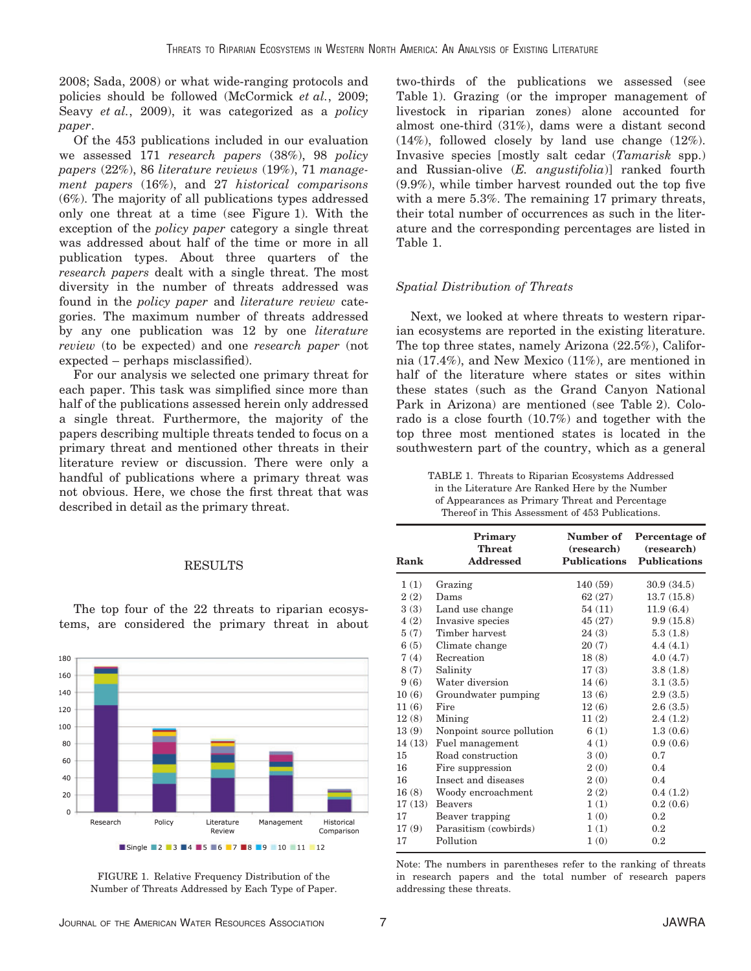2008; Sada, 2008) or what wide-ranging protocols and policies should be followed (McCormick et al., 2009; Seavy et al., 2009), it was categorized as a policy paper.

Of the 453 publications included in our evaluation we assessed 171 research papers (38%), 98 policy papers (22%), 86 literature reviews (19%), 71 management papers (16%), and 27 historical comparisons (6%). The majority of all publications types addressed only one threat at a time (see Figure 1). With the exception of the policy paper category a single threat was addressed about half of the time or more in all publication types. About three quarters of the research papers dealt with a single threat. The most diversity in the number of threats addressed was found in the policy paper and literature review categories. The maximum number of threats addressed by any one publication was 12 by one *literature* review (to be expected) and one research paper (not expected – perhaps misclassified).

For our analysis we selected one primary threat for each paper. This task was simplified since more than half of the publications assessed herein only addressed a single threat. Furthermore, the majority of the papers describing multiple threats tended to focus on a primary threat and mentioned other threats in their literature review or discussion. There were only a handful of publications where a primary threat was not obvious. Here, we chose the first threat that was described in detail as the primary threat.

#### RESULTS

The top four of the 22 threats to riparian ecosystems, are considered the primary threat in about



FIGURE 1. Relative Frequency Distribution of the Number of Threats Addressed by Each Type of Paper.

two-thirds of the publications we assessed (see Table 1). Grazing (or the improper management of livestock in riparian zones) alone accounted for almost one-third (31%), dams were a distant second (14%), followed closely by land use change (12%). Invasive species [mostly salt cedar (Tamarisk spp.) and Russian-olive (E. angustifolia)] ranked fourth (9.9%), while timber harvest rounded out the top five with a mere 5.3%. The remaining 17 primary threats, their total number of occurrences as such in the literature and the corresponding percentages are listed in Table 1.

#### Spatial Distribution of Threats

Next, we looked at where threats to western riparian ecosystems are reported in the existing literature. The top three states, namely Arizona (22.5%), California (17.4%), and New Mexico (11%), are mentioned in half of the literature where states or sites within these states (such as the Grand Canyon National Park in Arizona) are mentioned (see Table 2). Colorado is a close fourth (10.7%) and together with the top three most mentioned states is located in the southwestern part of the country, which as a general

TABLE 1. Threats to Riparian Ecosystems Addressed in the Literature Are Ranked Here by the Number of Appearances as Primary Threat and Percentage Thereof in This Assessment of 453 Publications.

| Rank   | Primary<br><b>Threat</b><br><b>Addressed</b> | Number of<br>(research)<br><b>Publications</b> | Percentage of<br>(research)<br><b>Publications</b> |
|--------|----------------------------------------------|------------------------------------------------|----------------------------------------------------|
| 1(1)   | Grazing                                      | 140 (59)                                       | 30.9(34.5)                                         |
| 2(2)   | Dams                                         | 62(27)                                         | 13.7(15.8)                                         |
| 3(3)   | Land use change                              | 54(11)                                         | 11.9(6.4)                                          |
| 4(2)   | Invasive species                             | 45(27)                                         | 9.9(15.8)                                          |
| 5(7)   | Timber harvest                               | 24(3)                                          | 5.3(1.8)                                           |
| 6(5)   | Climate change                               | 20(7)                                          | 4.4(4.1)                                           |
| 7(4)   | Recreation                                   | 18(8)                                          | 4.0(4.7)                                           |
| 8(7)   | Salinity                                     | 17(3)                                          | 3.8(1.8)                                           |
| 9(6)   | Water diversion                              | 14(6)                                          | 3.1(3.5)                                           |
| 10(6)  | Groundwater pumping                          | 13(6)                                          | 2.9(3.5)                                           |
| 11(6)  | Fire                                         | 12(6)                                          | 2.6(3.5)                                           |
| 12(8)  | Mining                                       | 11(2)                                          | 2.4(1.2)                                           |
| 13(9)  | Nonpoint source pollution                    | 6(1)                                           | 1.3(0.6)                                           |
| 14(13) | Fuel management                              | 4(1)                                           | 0.9(0.6)                                           |
| 15     | Road construction                            | 3(0)                                           | 0.7                                                |
| 16     | Fire suppression                             | 2(0)                                           | 0.4                                                |
| 16     | Insect and diseases                          | 2(0)                                           | 0.4                                                |
| 16(8)  | Woody encroachment                           | 2(2)                                           | 0.4(1.2)                                           |
| 17(13) | <b>Beavers</b>                               | 1(1)                                           | 0.2(0.6)                                           |
| 17     | Beaver trapping                              | 1(0)                                           | 0.2                                                |
| 17(9)  | Parasitism (cowbirds)                        | 1(1)                                           | 0.2                                                |
| 17     | Pollution                                    | 1(0)                                           | 0.2                                                |

Note: The numbers in parentheses refer to the ranking of threats in research papers and the total number of research papers addressing these threats.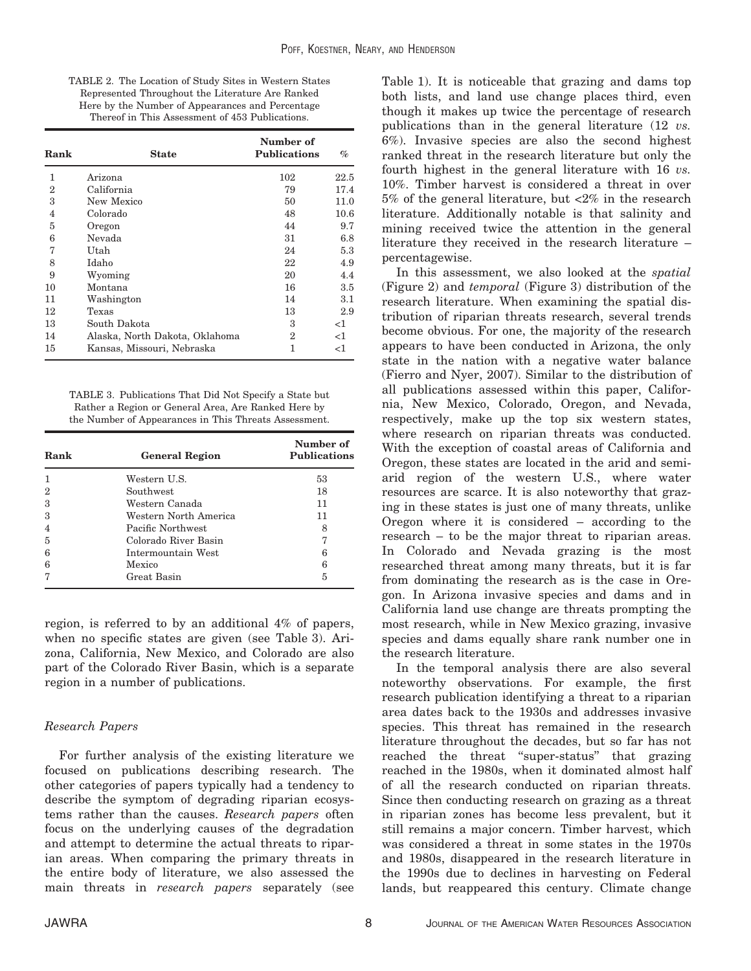| TABLE 2. The Location of Study Sites in Western States |
|--------------------------------------------------------|
| Represented Throughout the Literature Are Ranked       |
| Here by the Number of Appearances and Percentage       |
| Thereof in This Assessment of 453 Publications.        |

| Rank           | State                          | Number of<br><b>Publications</b> | $\%$   |
|----------------|--------------------------------|----------------------------------|--------|
| 1              | Arizona                        | 102                              | 22.5   |
| $\overline{2}$ | California                     | 79                               | 17.4   |
| 3              | New Mexico                     | 50                               | 11.0   |
| 4              | Colorado                       | 48                               | 10.6   |
| 5              | Oregon                         | 44                               | 9.7    |
| 6              | Nevada                         | 31                               | 6.8    |
| 7              | Utah                           | 24                               | 5.3    |
| 8              | Idaho                          | 22                               | 4.9    |
| 9              | Wyoming                        | 20                               | 4.4    |
| 10             | Montana                        | 16                               | 3.5    |
| 11             | Washington                     | 14                               | 3.1    |
| 12             | Texas                          | 13                               | 2.9    |
| 13             | South Dakota                   | 3                                | ${<}1$ |
| 14             | Alaska, North Dakota, Oklahoma | $\overline{2}$                   | < 1    |
| 15             | Kansas, Missouri, Nebraska     | 1                                | ${<}1$ |

TABLE 3. Publications That Did Not Specify a State but Rather a Region or General Area, Are Ranked Here by the Number of Appearances in This Threats Assessment.

| Rank | <b>General Region</b> | Number of<br><b>Publications</b> |
|------|-----------------------|----------------------------------|
|      | Western U.S.          | 53                               |
| 2    | Southwest             | 18                               |
| 3    | Western Canada        | 11                               |
| 3    | Western North America | 11                               |
|      | Pacific Northwest     | 8                                |
| 5    | Colorado River Basin  | 7                                |
| 6    | Intermountain West    | R                                |
| 6    | Mexico                |                                  |
|      | Great Basin           | 5                                |

region, is referred to by an additional 4% of papers, when no specific states are given (see Table 3). Arizona, California, New Mexico, and Colorado are also part of the Colorado River Basin, which is a separate region in a number of publications.

## Research Papers

For further analysis of the existing literature we focused on publications describing research. The other categories of papers typically had a tendency to describe the symptom of degrading riparian ecosystems rather than the causes. Research papers often focus on the underlying causes of the degradation and attempt to determine the actual threats to riparian areas. When comparing the primary threats in the entire body of literature, we also assessed the main threats in *research papers* separately (see Table 1). It is noticeable that grazing and dams top both lists, and land use change places third, even though it makes up twice the percentage of research publications than in the general literature (12 vs. 6%). Invasive species are also the second highest ranked threat in the research literature but only the fourth highest in the general literature with 16 vs. 10%. Timber harvest is considered a threat in over 5% of the general literature, but <2% in the research literature. Additionally notable is that salinity and mining received twice the attention in the general literature they received in the research literature – percentagewise.

In this assessment, we also looked at the *spatial* (Figure 2) and temporal (Figure 3) distribution of the research literature. When examining the spatial distribution of riparian threats research, several trends become obvious. For one, the majority of the research appears to have been conducted in Arizona, the only state in the nation with a negative water balance (Fierro and Nyer, 2007). Similar to the distribution of all publications assessed within this paper, California, New Mexico, Colorado, Oregon, and Nevada, respectively, make up the top six western states, where research on riparian threats was conducted. With the exception of coastal areas of California and Oregon, these states are located in the arid and semiarid region of the western U.S., where water resources are scarce. It is also noteworthy that grazing in these states is just one of many threats, unlike Oregon where it is considered – according to the research – to be the major threat to riparian areas. In Colorado and Nevada grazing is the most researched threat among many threats, but it is far from dominating the research as is the case in Oregon. In Arizona invasive species and dams and in California land use change are threats prompting the most research, while in New Mexico grazing, invasive species and dams equally share rank number one in the research literature.

In the temporal analysis there are also several noteworthy observations. For example, the first research publication identifying a threat to a riparian area dates back to the 1930s and addresses invasive species. This threat has remained in the research literature throughout the decades, but so far has not reached the threat ''super-status'' that grazing reached in the 1980s, when it dominated almost half of all the research conducted on riparian threats. Since then conducting research on grazing as a threat in riparian zones has become less prevalent, but it still remains a major concern. Timber harvest, which was considered a threat in some states in the 1970s and 1980s, disappeared in the research literature in the 1990s due to declines in harvesting on Federal lands, but reappeared this century. Climate change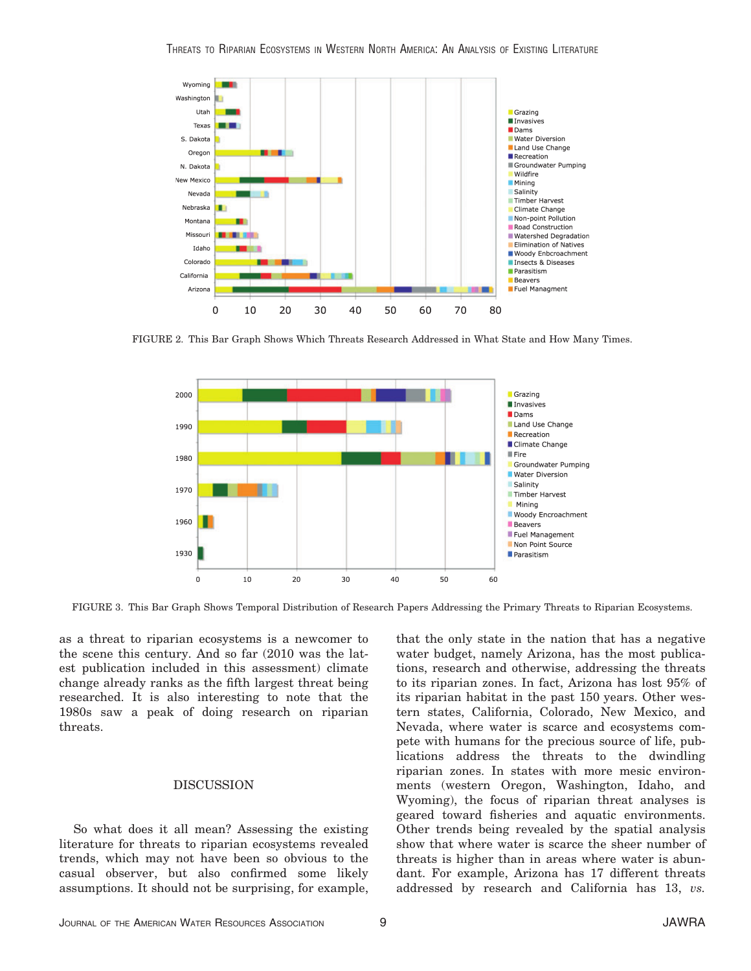

FIGURE 2. This Bar Graph Shows Which Threats Research Addressed in What State and How Many Times.



FIGURE 3. This Bar Graph Shows Temporal Distribution of Research Papers Addressing the Primary Threats to Riparian Ecosystems.

as a threat to riparian ecosystems is a newcomer to the scene this century. And so far (2010 was the latest publication included in this assessment) climate change already ranks as the fifth largest threat being researched. It is also interesting to note that the 1980s saw a peak of doing research on riparian threats.

### DISCUSSION

So what does it all mean? Assessing the existing literature for threats to riparian ecosystems revealed trends, which may not have been so obvious to the casual observer, but also confirmed some likely assumptions. It should not be surprising, for example,

that the only state in the nation that has a negative water budget, namely Arizona, has the most publications, research and otherwise, addressing the threats to its riparian zones. In fact, Arizona has lost 95% of its riparian habitat in the past 150 years. Other western states, California, Colorado, New Mexico, and Nevada, where water is scarce and ecosystems compete with humans for the precious source of life, publications address the threats to the dwindling riparian zones. In states with more mesic environments (western Oregon, Washington, Idaho, and Wyoming), the focus of riparian threat analyses is geared toward fisheries and aquatic environments. Other trends being revealed by the spatial analysis show that where water is scarce the sheer number of threats is higher than in areas where water is abundant. For example, Arizona has 17 different threats addressed by research and California has 13, vs.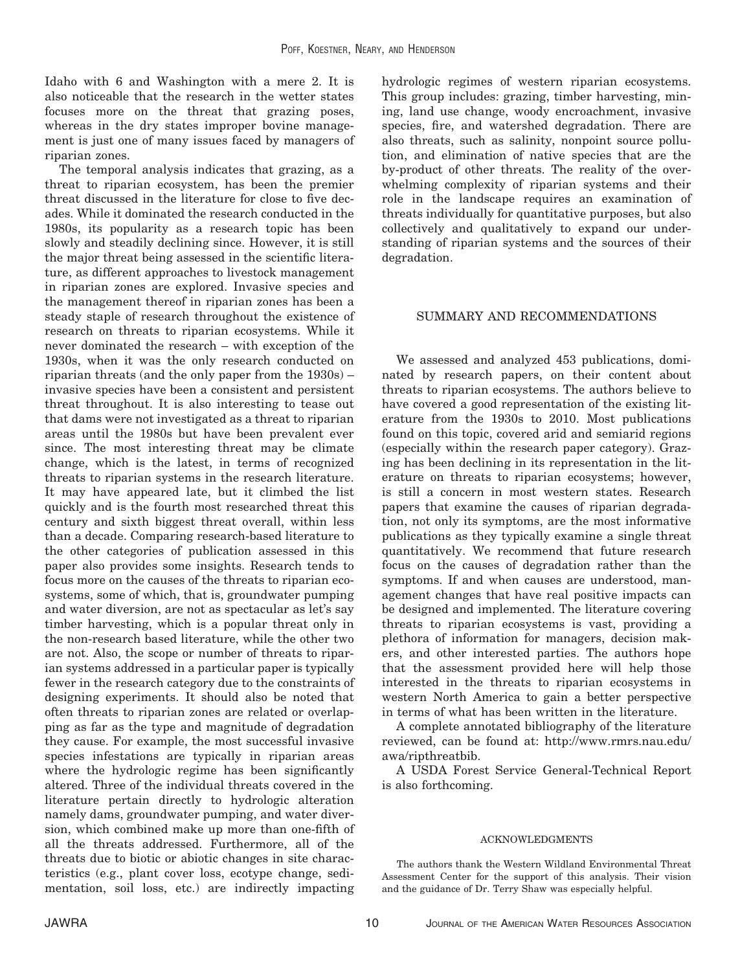Idaho with 6 and Washington with a mere 2. It is also noticeable that the research in the wetter states focuses more on the threat that grazing poses, whereas in the dry states improper bovine management is just one of many issues faced by managers of riparian zones.

The temporal analysis indicates that grazing, as a threat to riparian ecosystem, has been the premier threat discussed in the literature for close to five decades. While it dominated the research conducted in the 1980s, its popularity as a research topic has been slowly and steadily declining since. However, it is still the major threat being assessed in the scientific literature, as different approaches to livestock management in riparian zones are explored. Invasive species and the management thereof in riparian zones has been a steady staple of research throughout the existence of research on threats to riparian ecosystems. While it never dominated the research – with exception of the 1930s, when it was the only research conducted on riparian threats (and the only paper from the 1930s) – invasive species have been a consistent and persistent threat throughout. It is also interesting to tease out that dams were not investigated as a threat to riparian areas until the 1980s but have been prevalent ever since. The most interesting threat may be climate change, which is the latest, in terms of recognized threats to riparian systems in the research literature. It may have appeared late, but it climbed the list quickly and is the fourth most researched threat this century and sixth biggest threat overall, within less than a decade. Comparing research-based literature to the other categories of publication assessed in this paper also provides some insights. Research tends to focus more on the causes of the threats to riparian ecosystems, some of which, that is, groundwater pumping and water diversion, are not as spectacular as let's say timber harvesting, which is a popular threat only in the non-research based literature, while the other two are not. Also, the scope or number of threats to riparian systems addressed in a particular paper is typically fewer in the research category due to the constraints of designing experiments. It should also be noted that often threats to riparian zones are related or overlapping as far as the type and magnitude of degradation they cause. For example, the most successful invasive species infestations are typically in riparian areas where the hydrologic regime has been significantly altered. Three of the individual threats covered in the literature pertain directly to hydrologic alteration namely dams, groundwater pumping, and water diversion, which combined make up more than one-fifth of all the threats addressed. Furthermore, all of the threats due to biotic or abiotic changes in site characteristics (e.g., plant cover loss, ecotype change, sedimentation, soil loss, etc.) are indirectly impacting

hydrologic regimes of western riparian ecosystems. This group includes: grazing, timber harvesting, mining, land use change, woody encroachment, invasive species, fire, and watershed degradation. There are also threats, such as salinity, nonpoint source pollution, and elimination of native species that are the by-product of other threats. The reality of the overwhelming complexity of riparian systems and their role in the landscape requires an examination of threats individually for quantitative purposes, but also collectively and qualitatively to expand our understanding of riparian systems and the sources of their degradation.

#### SUMMARY AND RECOMMENDATIONS

We assessed and analyzed 453 publications, dominated by research papers, on their content about threats to riparian ecosystems. The authors believe to have covered a good representation of the existing literature from the 1930s to 2010. Most publications found on this topic, covered arid and semiarid regions (especially within the research paper category). Grazing has been declining in its representation in the literature on threats to riparian ecosystems; however, is still a concern in most western states. Research papers that examine the causes of riparian degradation, not only its symptoms, are the most informative publications as they typically examine a single threat quantitatively. We recommend that future research focus on the causes of degradation rather than the symptoms. If and when causes are understood, management changes that have real positive impacts can be designed and implemented. The literature covering threats to riparian ecosystems is vast, providing a plethora of information for managers, decision makers, and other interested parties. The authors hope that the assessment provided here will help those interested in the threats to riparian ecosystems in western North America to gain a better perspective in terms of what has been written in the literature.

A complete annotated bibliography of the literature reviewed, can be found at: http://www.rmrs.nau.edu/ awa/ripthreatbib.

A USDA Forest Service General-Technical Report is also forthcoming.

#### ACKNOWLEDGMENTS

The authors thank the Western Wildland Environmental Threat Assessment Center for the support of this analysis. Their vision and the guidance of Dr. Terry Shaw was especially helpful.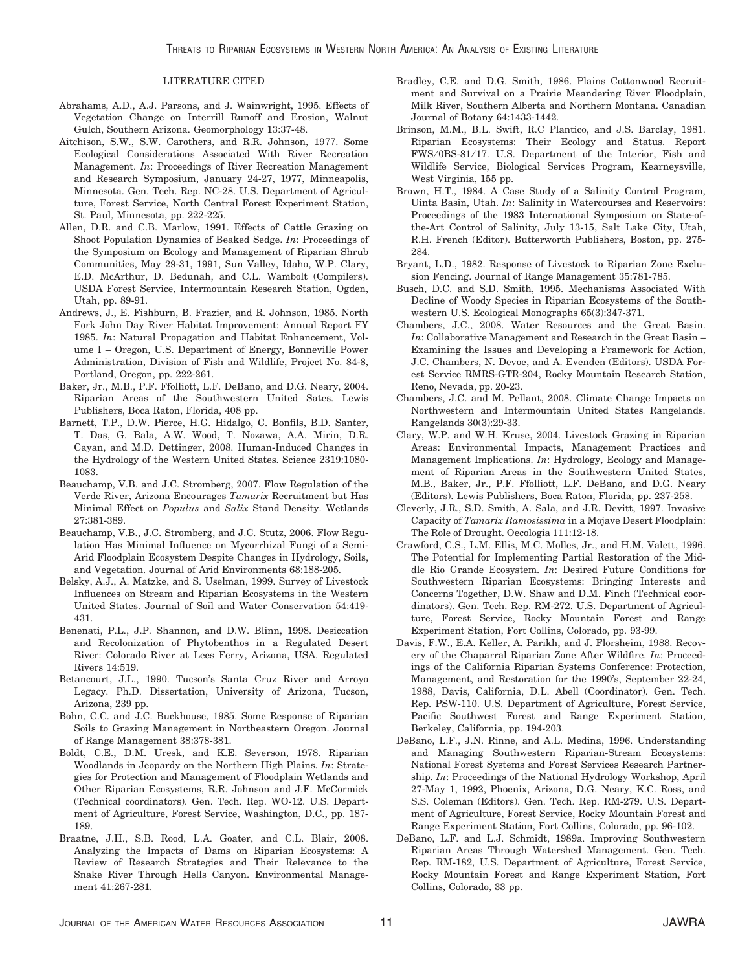#### LITERATURE CITED

- Abrahams, A.D., A.J. Parsons, and J. Wainwright, 1995. Effects of Vegetation Change on Interrill Runoff and Erosion, Walnut Gulch, Southern Arizona. Geomorphology 13:37-48.
- Aitchison, S.W., S.W. Carothers, and R.R. Johnson, 1977. Some Ecological Considerations Associated With River Recreation Management. In: Proceedings of River Recreation Management and Research Symposium, January 24-27, 1977, Minneapolis, Minnesota. Gen. Tech. Rep. NC-28. U.S. Department of Agriculture, Forest Service, North Central Forest Experiment Station, St. Paul, Minnesota, pp. 222-225.
- Allen, D.R. and C.B. Marlow, 1991. Effects of Cattle Grazing on Shoot Population Dynamics of Beaked Sedge. In: Proceedings of the Symposium on Ecology and Management of Riparian Shrub Communities, May 29-31, 1991, Sun Valley, Idaho, W.P. Clary, E.D. McArthur, D. Bedunah, and C.L. Wambolt (Compilers). USDA Forest Service, Intermountain Research Station, Ogden, Utah, pp. 89-91.
- Andrews, J., E. Fishburn, B. Frazier, and R. Johnson, 1985. North Fork John Day River Habitat Improvement: Annual Report FY 1985. In: Natural Propagation and Habitat Enhancement, Volume I – Oregon, U.S. Department of Energy, Bonneville Power Administration, Division of Fish and Wildlife, Project No. 84-8, Portland, Oregon, pp. 222-261.
- Baker, Jr., M.B., P.F. Ffolliott, L.F. DeBano, and D.G. Neary, 2004. Riparian Areas of the Southwestern United Sates. Lewis Publishers, Boca Raton, Florida, 408 pp.
- Barnett, T.P., D.W. Pierce, H.G. Hidalgo, C. Bonfils, B.D. Santer, T. Das, G. Bala, A.W. Wood, T. Nozawa, A.A. Mirin, D.R. Cayan, and M.D. Dettinger, 2008. Human-Induced Changes in the Hydrology of the Western United States. Science 2319:1080- 1083.
- Beauchamp, V.B. and J.C. Stromberg, 2007. Flow Regulation of the Verde River, Arizona Encourages Tamarix Recruitment but Has Minimal Effect on Populus and Salix Stand Density. Wetlands 27:381-389.
- Beauchamp, V.B., J.C. Stromberg, and J.C. Stutz, 2006. Flow Regulation Has Minimal Influence on Mycorrhizal Fungi of a Semi-Arid Floodplain Ecosystem Despite Changes in Hydrology, Soils, and Vegetation. Journal of Arid Environments 68:188-205.
- Belsky, A.J., A. Matzke, and S. Uselman, 1999. Survey of Livestock Influences on Stream and Riparian Ecosystems in the Western United States. Journal of Soil and Water Conservation 54:419- 431.
- Benenati, P.L., J.P. Shannon, and D.W. Blinn, 1998. Desiccation and Recolonization of Phytobenthos in a Regulated Desert River: Colorado River at Lees Ferry, Arizona, USA. Regulated Rivers 14:519.
- Betancourt, J.L., 1990. Tucson's Santa Cruz River and Arroyo Legacy. Ph.D. Dissertation, University of Arizona, Tucson, Arizona, 239 pp.
- Bohn, C.C. and J.C. Buckhouse, 1985. Some Response of Riparian Soils to Grazing Management in Northeastern Oregon. Journal of Range Management 38:378-381.
- Boldt, C.E., D.M. Uresk, and K.E. Severson, 1978. Riparian Woodlands in Jeopardy on the Northern High Plains. In: Strategies for Protection and Management of Floodplain Wetlands and Other Riparian Ecosystems, R.R. Johnson and J.F. McCormick (Technical coordinators). Gen. Tech. Rep. WO-12. U.S. Department of Agriculture, Forest Service, Washington, D.C., pp. 187- 189.
- Braatne, J.H., S.B. Rood, L.A. Goater, and C.L. Blair, 2008. Analyzing the Impacts of Dams on Riparian Ecosystems: A Review of Research Strategies and Their Relevance to the Snake River Through Hells Canyon. Environmental Management 41:267-281.
- Bradley, C.E. and D.G. Smith, 1986. Plains Cottonwood Recruitment and Survival on a Prairie Meandering River Floodplain, Milk River, Southern Alberta and Northern Montana. Canadian Journal of Botany 64:1433-1442.
- Brinson, M.M., B.L. Swift, R.C Plantico, and J.S. Barclay, 1981. Riparian Ecosystems: Their Ecology and Status. Report FWS/0BS-81/17. U.S. Department of the Interior, Fish and Wildlife Service, Biological Services Program, Kearneysville, West Virginia, 155 pp.
- Brown, H.T., 1984. A Case Study of a Salinity Control Program, Uinta Basin, Utah. In: Salinity in Watercourses and Reservoirs: Proceedings of the 1983 International Symposium on State-ofthe-Art Control of Salinity, July 13-15, Salt Lake City, Utah, R.H. French (Editor). Butterworth Publishers, Boston, pp. 275- 284.
- Bryant, L.D., 1982. Response of Livestock to Riparian Zone Exclusion Fencing. Journal of Range Management 35:781-785.
- Busch, D.C. and S.D. Smith, 1995. Mechanisms Associated With Decline of Woody Species in Riparian Ecosystems of the Southwestern U.S. Ecological Monographs 65(3):347-371.
- Chambers, J.C., 2008. Water Resources and the Great Basin.  $In:$  Collaborative Management and Research in the Great Basin  $-$ Examining the Issues and Developing a Framework for Action, J.C. Chambers, N. Devoe, and A. Evenden (Editors). USDA Forest Service RMRS-GTR-204, Rocky Mountain Research Station, Reno, Nevada, pp. 20-23.
- Chambers, J.C. and M. Pellant, 2008. Climate Change Impacts on Northwestern and Intermountain United States Rangelands. Rangelands 30(3):29-33.
- Clary, W.P. and W.H. Kruse, 2004. Livestock Grazing in Riparian Areas: Environmental Impacts, Management Practices and Management Implications. In: Hydrology, Ecology and Management of Riparian Areas in the Southwestern United States, M.B., Baker, Jr., P.F. Ffolliott, L.F. DeBano, and D.G. Neary (Editors). Lewis Publishers, Boca Raton, Florida, pp. 237-258.
- Cleverly, J.R., S.D. Smith, A. Sala, and J.R. Devitt, 1997. Invasive Capacity of Tamarix Ramosissima in a Mojave Desert Floodplain: The Role of Drought. Oecologia 111:12-18.
- Crawford, C.S., L.M. Ellis, M.C. Molles, Jr., and H.M. Valett, 1996. The Potential for Implementing Partial Restoration of the Middle Rio Grande Ecosystem. In: Desired Future Conditions for Southwestern Riparian Ecosystems: Bringing Interests and Concerns Together, D.W. Shaw and D.M. Finch (Technical coordinators). Gen. Tech. Rep. RM-272. U.S. Department of Agriculture, Forest Service, Rocky Mountain Forest and Range Experiment Station, Fort Collins, Colorado, pp. 93-99.
- Davis, F.W., E.A. Keller, A. Parikh, and J. Florsheim, 1988. Recovery of the Chaparral Riparian Zone After Wildfire. In: Proceedings of the California Riparian Systems Conference: Protection, Management, and Restoration for the 1990's, September 22-24, 1988, Davis, California, D.L. Abell (Coordinator). Gen. Tech. Rep. PSW-110. U.S. Department of Agriculture, Forest Service, Pacific Southwest Forest and Range Experiment Station, Berkeley, California, pp. 194-203.
- DeBano, L.F., J.N. Rinne, and A.L. Medina, 1996. Understanding and Managing Southwestern Riparian-Stream Ecosystems: National Forest Systems and Forest Services Research Partnership. In: Proceedings of the National Hydrology Workshop, April 27-May 1, 1992, Phoenix, Arizona, D.G. Neary, K.C. Ross, and S.S. Coleman (Editors). Gen. Tech. Rep. RM-279. U.S. Department of Agriculture, Forest Service, Rocky Mountain Forest and Range Experiment Station, Fort Collins, Colorado, pp. 96-102.
- DeBano, L.F. and L.J. Schmidt, 1989a. Improving Southwestern Riparian Areas Through Watershed Management. Gen. Tech. Rep. RM-182, U.S. Department of Agriculture, Forest Service, Rocky Mountain Forest and Range Experiment Station, Fort Collins, Colorado, 33 pp.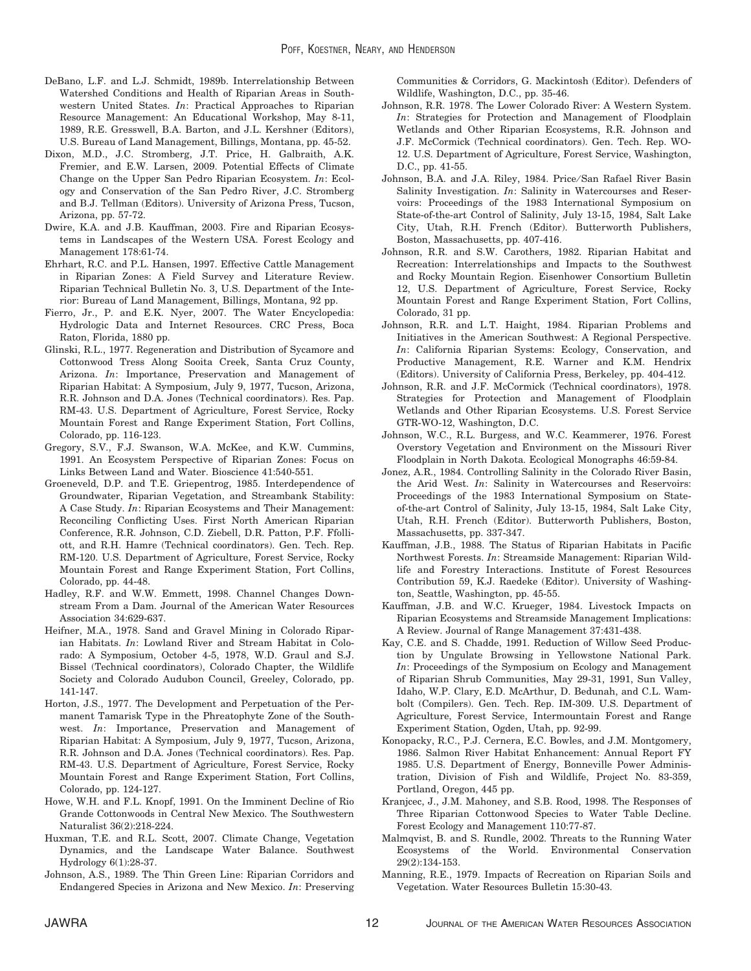- DeBano, L.F. and L.J. Schmidt, 1989b. Interrelationship Between Watershed Conditions and Health of Riparian Areas in Southwestern United States. In: Practical Approaches to Riparian Resource Management: An Educational Workshop, May 8-11, 1989, R.E. Gresswell, B.A. Barton, and J.L. Kershner (Editors), U.S. Bureau of Land Management, Billings, Montana, pp. 45-52.
- Dixon, M.D., J.C. Stromberg, J.T. Price, H. Galbraith, A.K. Fremier, and E.W. Larsen, 2009. Potential Effects of Climate Change on the Upper San Pedro Riparian Ecosystem. In: Ecology and Conservation of the San Pedro River, J.C. Stromberg and B.J. Tellman (Editors). University of Arizona Press, Tucson, Arizona, pp. 57-72.
- Dwire, K.A. and J.B. Kauffman, 2003. Fire and Riparian Ecosystems in Landscapes of the Western USA. Forest Ecology and Management 178:61-74.
- Ehrhart, R.C. and P.L. Hansen, 1997. Effective Cattle Management in Riparian Zones: A Field Survey and Literature Review. Riparian Technical Bulletin No. 3, U.S. Department of the Interior: Bureau of Land Management, Billings, Montana, 92 pp.
- Fierro, Jr., P. and E.K. Nyer, 2007. The Water Encyclopedia: Hydrologic Data and Internet Resources. CRC Press, Boca Raton, Florida, 1880 pp.
- Glinski, R.L., 1977. Regeneration and Distribution of Sycamore and Cottonwood Tress Along Sooita Creek, Santa Cruz County, Arizona. In: Importance, Preservation and Management of Riparian Habitat: A Symposium, July 9, 1977, Tucson, Arizona, R.R. Johnson and D.A. Jones (Technical coordinators). Res. Pap. RM-43. U.S. Department of Agriculture, Forest Service, Rocky Mountain Forest and Range Experiment Station, Fort Collins, Colorado, pp. 116-123.
- Gregory, S.V., F.J. Swanson, W.A. McKee, and K.W. Cummins, 1991. An Ecosystem Perspective of Riparian Zones: Focus on Links Between Land and Water. Bioscience 41:540-551.
- Groeneveld, D.P. and T.E. Griepentrog, 1985. Interdependence of Groundwater, Riparian Vegetation, and Streambank Stability: A Case Study. In: Riparian Ecosystems and Their Management: Reconciling Conflicting Uses. First North American Riparian Conference, R.R. Johnson, C.D. Ziebell, D.R. Patton, P.F. Ffolliott, and R.H. Hamre (Technical coordinators). Gen. Tech. Rep. RM-120. U.S. Department of Agriculture, Forest Service, Rocky Mountain Forest and Range Experiment Station, Fort Collins, Colorado, pp. 44-48.
- Hadley, R.F. and W.W. Emmett, 1998. Channel Changes Downstream From a Dam. Journal of the American Water Resources Association 34:629-637.
- Heifner, M.A., 1978. Sand and Gravel Mining in Colorado Riparian Habitats. In: Lowland River and Stream Habitat in Colorado: A Symposium, October 4-5, 1978, W.D. Graul and S.J. Bissel (Technical coordinators), Colorado Chapter, the Wildlife Society and Colorado Audubon Council, Greeley, Colorado, pp. 141-147.
- Horton, J.S., 1977. The Development and Perpetuation of the Permanent Tamarisk Type in the Phreatophyte Zone of the Southwest. In: Importance, Preservation and Management of Riparian Habitat: A Symposium, July 9, 1977, Tucson, Arizona, R.R. Johnson and D.A. Jones (Technical coordinators). Res. Pap. RM-43. U.S. Department of Agriculture, Forest Service, Rocky Mountain Forest and Range Experiment Station, Fort Collins, Colorado, pp. 124-127.
- Howe, W.H. and F.L. Knopf, 1991. On the Imminent Decline of Rio Grande Cottonwoods in Central New Mexico. The Southwestern Naturalist 36(2):218-224.
- Huxman, T.E. and R.L. Scott, 2007. Climate Change, Vegetation Dynamics, and the Landscape Water Balance. Southwest Hydrology 6(1):28-37.
- Johnson, A.S., 1989. The Thin Green Line: Riparian Corridors and Endangered Species in Arizona and New Mexico. In: Preserving

Communities & Corridors, G. Mackintosh (Editor). Defenders of Wildlife, Washington, D.C., pp. 35-46.

- Johnson, R.R. 1978. The Lower Colorado River: A Western System. In: Strategies for Protection and Management of Floodplain Wetlands and Other Riparian Ecosystems, R.R. Johnson and J.F. McCormick (Technical coordinators). Gen. Tech. Rep. WO-12. U.S. Department of Agriculture, Forest Service, Washington, D.C., pp. 41-55.
- Johnson, B.A. and J.A. Riley, 1984. Price ⁄ San Rafael River Basin Salinity Investigation. In: Salinity in Watercourses and Reservoirs: Proceedings of the 1983 International Symposium on State-of-the-art Control of Salinity, July 13-15, 1984, Salt Lake City, Utah, R.H. French (Editor). Butterworth Publishers, Boston, Massachusetts, pp. 407-416.
- Johnson, R.R. and S.W. Carothers, 1982. Riparian Habitat and Recreation: Interrelationships and Impacts to the Southwest and Rocky Mountain Region. Eisenhower Consortium Bulletin 12, U.S. Department of Agriculture, Forest Service, Rocky Mountain Forest and Range Experiment Station, Fort Collins, Colorado, 31 pp.
- Johnson, R.R. and L.T. Haight, 1984. Riparian Problems and Initiatives in the American Southwest: A Regional Perspective. In: California Riparian Systems: Ecology, Conservation, and Productive Management, R.E. Warner and K.M. Hendrix (Editors). University of California Press, Berkeley, pp. 404-412.
- Johnson, R.R. and J.F. McCormick (Technical coordinators), 1978. Strategies for Protection and Management of Floodplain Wetlands and Other Riparian Ecosystems. U.S. Forest Service GTR-WO-12, Washington, D.C.
- Johnson, W.C., R.L. Burgess, and W.C. Keammerer, 1976. Forest Overstory Vegetation and Environment on the Missouri River Floodplain in North Dakota. Ecological Monographs 46:59-84.
- Jonez, A.R., 1984. Controlling Salinity in the Colorado River Basin, the Arid West. In: Salinity in Watercourses and Reservoirs: Proceedings of the 1983 International Symposium on Stateof-the-art Control of Salinity, July 13-15, 1984, Salt Lake City, Utah, R.H. French (Editor). Butterworth Publishers, Boston, Massachusetts, pp. 337-347.
- Kauffman, J.B., 1988. The Status of Riparian Habitats in Pacific Northwest Forests. In: Streamside Management: Riparian Wildlife and Forestry Interactions. Institute of Forest Resources Contribution 59, K.J. Raedeke (Editor). University of Washington, Seattle, Washington, pp. 45-55.
- Kauffman, J.B. and W.C. Krueger, 1984. Livestock Impacts on Riparian Ecosystems and Streamside Management Implications: A Review. Journal of Range Management 37:431-438.
- Kay, C.E. and S. Chadde, 1991. Reduction of Willow Seed Production by Ungulate Browsing in Yellowstone National Park. In: Proceedings of the Symposium on Ecology and Management of Riparian Shrub Communities, May 29-31, 1991, Sun Valley, Idaho, W.P. Clary, E.D. McArthur, D. Bedunah, and C.L. Wambolt (Compilers). Gen. Tech. Rep. IM-309. U.S. Department of Agriculture, Forest Service, Intermountain Forest and Range Experiment Station, Ogden, Utah, pp. 92-99.
- Konopacky, R.C., P.J. Cernera, E.C. Bowles, and J.M. Montgomery, 1986. Salmon River Habitat Enhancement: Annual Report FY 1985. U.S. Department of Energy, Bonneville Power Administration, Division of Fish and Wildlife, Project No. 83-359, Portland, Oregon, 445 pp.
- Kranjcec, J., J.M. Mahoney, and S.B. Rood, 1998. The Responses of Three Riparian Cottonwood Species to Water Table Decline. Forest Ecology and Management 110:77-87.
- Malmqvist, B. and S. Rundle, 2002. Threats to the Running Water Ecosystems of the World. Environmental Conservation 29(2):134-153.
- Manning, R.E., 1979. Impacts of Recreation on Riparian Soils and Vegetation. Water Resources Bulletin 15:30-43.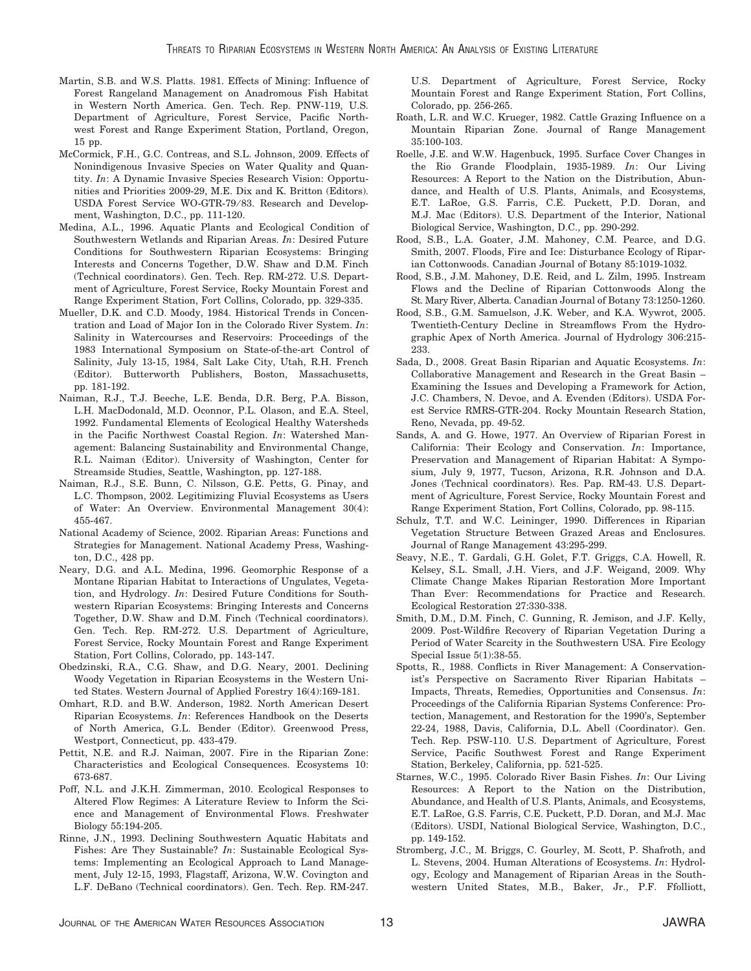- Martin, S.B. and W.S. Platts. 1981. Effects of Mining: Influence of Forest Rangeland Management on Anadromous Fish Habitat in Western North America. Gen. Tech. Rep. PNW-119, U.S. Department of Agriculture, Forest Service, Pacific Northwest Forest and Range Experiment Station, Portland, Oregon, 15 pp.
- McCormick, F.H., G.C. Contreas, and S.L. Johnson, 2009. Effects of Nonindigenous Invasive Species on Water Quality and Quantity. In: A Dynamic Invasive Species Research Vision: Opportunities and Priorities 2009-29, M.E. Dix and K. Britton (Editors). USDA Forest Service WO-GTR-79 ⁄ 83. Research and Development, Washington, D.C., pp. 111-120.
- Medina, A.L., 1996. Aquatic Plants and Ecological Condition of Southwestern Wetlands and Riparian Areas. In: Desired Future Conditions for Southwestern Riparian Ecosystems: Bringing Interests and Concerns Together, D.W. Shaw and D.M. Finch (Technical coordinators). Gen. Tech. Rep. RM-272. U.S. Department of Agriculture, Forest Service, Rocky Mountain Forest and Range Experiment Station, Fort Collins, Colorado, pp. 329-335.
- Mueller, D.K. and C.D. Moody, 1984. Historical Trends in Concentration and Load of Major Ion in the Colorado River System. In: Salinity in Watercourses and Reservoirs: Proceedings of the 1983 International Symposium on State-of-the-art Control of Salinity, July 13-15, 1984, Salt Lake City, Utah, R.H. French (Editor). Butterworth Publishers, Boston, Massachusetts, pp. 181-192.
- Naiman, R.J., T.J. Beeche, L.E. Benda, D.R. Berg, P.A. Bisson, L.H. MacDodonald, M.D. Oconnor, P.L. Olason, and E.A. Steel, 1992. Fundamental Elements of Ecological Healthy Watersheds in the Pacific Northwest Coastal Region. In: Watershed Management: Balancing Sustainability and Environmental Change, R.L. Naiman (Editor). University of Washington, Center for Streamside Studies, Seattle, Washington, pp. 127-188.
- Naiman, R.J., S.E. Bunn, C. Nilsson, G.E. Petts, G. Pinay, and L.C. Thompson, 2002. Legitimizing Fluvial Ecosystems as Users of Water: An Overview. Environmental Management 30(4): 455-467.
- National Academy of Science, 2002. Riparian Areas: Functions and Strategies for Management. National Academy Press, Washington, D.C., 428 pp.
- Neary, D.G. and A.L. Medina, 1996. Geomorphic Response of a Montane Riparian Habitat to Interactions of Ungulates, Vegetation, and Hydrology. In: Desired Future Conditions for Southwestern Riparian Ecosystems: Bringing Interests and Concerns Together, D.W. Shaw and D.M. Finch (Technical coordinators). Gen. Tech. Rep. RM-272. U.S. Department of Agriculture, Forest Service, Rocky Mountain Forest and Range Experiment Station, Fort Collins, Colorado, pp. 143-147.
- Obedzinski, R.A., C.G. Shaw, and D.G. Neary, 2001. Declining Woody Vegetation in Riparian Ecosystems in the Western United States. Western Journal of Applied Forestry 16(4):169-181.
- Omhart, R.D. and B.W. Anderson, 1982. North American Desert Riparian Ecosystems. In: References Handbook on the Deserts of North America, G.L. Bender (Editor). Greenwood Press, Westport, Connecticut, pp. 433-479.
- Pettit, N.E. and R.J. Naiman, 2007. Fire in the Riparian Zone: Characteristics and Ecological Consequences. Ecosystems 10: 673-687.
- Poff, N.L. and J.K.H. Zimmerman, 2010. Ecological Responses to Altered Flow Regimes: A Literature Review to Inform the Science and Management of Environmental Flows. Freshwater Biology 55:194-205.
- Rinne, J.N., 1993. Declining Southwestern Aquatic Habitats and Fishes: Are They Sustainable? In: Sustainable Ecological Systems: Implementing an Ecological Approach to Land Management, July 12-15, 1993, Flagstaff, Arizona, W.W. Covington and L.F. DeBano (Technical coordinators). Gen. Tech. Rep. RM-247.

U.S. Department of Agriculture, Forest Service, Rocky Mountain Forest and Range Experiment Station, Fort Collins, Colorado, pp. 256-265.

- Roath, L.R. and W.C. Krueger, 1982. Cattle Grazing Influence on a Mountain Riparian Zone. Journal of Range Management 35:100-103.
- Roelle, J.E. and W.W. Hagenbuck, 1995. Surface Cover Changes in the Rio Grande Floodplain, 1935-1989. In: Our Living Resources: A Report to the Nation on the Distribution, Abundance, and Health of U.S. Plants, Animals, and Ecosystems, E.T. LaRoe, G.S. Farris, C.E. Puckett, P.D. Doran, and M.J. Mac (Editors). U.S. Department of the Interior, National Biological Service, Washington, D.C., pp. 290-292.
- Rood, S.B., L.A. Goater, J.M. Mahoney, C.M. Pearce, and D.G. Smith, 2007. Floods, Fire and Ice: Disturbance Ecology of Riparian Cottonwoods. Canadian Journal of Botany 85:1019-1032.
- Rood, S.B., J.M. Mahoney, D.E. Reid, and L. Zilm, 1995. Instream Flows and the Decline of Riparian Cottonwoods Along the St. Mary River, Alberta. Canadian Journal of Botany 73:1250-1260.
- Rood, S.B., G.M. Samuelson, J.K. Weber, and K.A. Wywrot, 2005. Twentieth-Century Decline in Streamflows From the Hydrographic Apex of North America. Journal of Hydrology 306:215- 233.
- Sada, D., 2008. Great Basin Riparian and Aquatic Ecosystems. In: Collaborative Management and Research in the Great Basin – Examining the Issues and Developing a Framework for Action, J.C. Chambers, N. Devoe, and A. Evenden (Editors). USDA Forest Service RMRS-GTR-204. Rocky Mountain Research Station, Reno, Nevada, pp. 49-52.
- Sands, A. and G. Howe, 1977. An Overview of Riparian Forest in California: Their Ecology and Conservation. In: Importance, Preservation and Management of Riparian Habitat: A Symposium, July 9, 1977, Tucson, Arizona, R.R. Johnson and D.A. Jones (Technical coordinators). Res. Pap. RM-43. U.S. Department of Agriculture, Forest Service, Rocky Mountain Forest and Range Experiment Station, Fort Collins, Colorado, pp. 98-115.
- Schulz, T.T. and W.C. Leininger, 1990. Differences in Riparian Vegetation Structure Between Grazed Areas and Enclosures. Journal of Range Management 43:295-299.
- Seavy, N.E., T. Gardali, G.H. Golet, F.T. Griggs, C.A. Howell, R. Kelsey, S.L. Small, J.H. Viers, and J.F. Weigand, 2009. Why Climate Change Makes Riparian Restoration More Important Than Ever: Recommendations for Practice and Research. Ecological Restoration 27:330-338.
- Smith, D.M., D.M. Finch, C. Gunning, R. Jemison, and J.F. Kelly, 2009. Post-Wildfire Recovery of Riparian Vegetation During a Period of Water Scarcity in the Southwestern USA. Fire Ecology Special Issue 5(1):38-55.
- Spotts, R., 1988. Conflicts in River Management: A Conservationist's Perspective on Sacramento River Riparian Habitats – Impacts, Threats, Remedies, Opportunities and Consensus. In: Proceedings of the California Riparian Systems Conference: Protection, Management, and Restoration for the 1990's, September 22-24, 1988, Davis, California, D.L. Abell (Coordinator). Gen. Tech. Rep. PSW-110. U.S. Department of Agriculture, Forest Service, Pacific Southwest Forest and Range Experiment Station, Berkeley, California, pp. 521-525.
- Starnes, W.C., 1995. Colorado River Basin Fishes. In: Our Living Resources: A Report to the Nation on the Distribution, Abundance, and Health of U.S. Plants, Animals, and Ecosystems, E.T. LaRoe, G.S. Farris, C.E. Puckett, P.D. Doran, and M.J. Mac (Editors). USDI, National Biological Service, Washington, D.C., pp. 149-152.
- Stromberg, J.C., M. Briggs, C. Gourley, M. Scott, P. Shafroth, and L. Stevens, 2004. Human Alterations of Ecosystems. In: Hydrology, Ecology and Management of Riparian Areas in the Southwestern United States, M.B., Baker, Jr., P.F. Ffolliott,